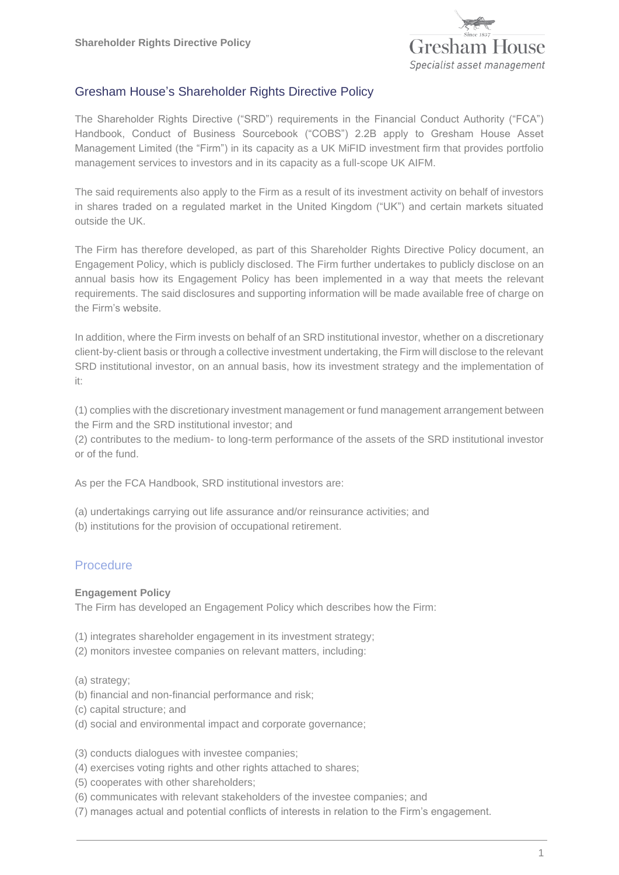

## Gresham House's Shareholder Rights Directive Policy

The Shareholder Rights Directive ("SRD") requirements in the Financial Conduct Authority ("FCA") Handbook, Conduct of Business Sourcebook ("COBS") 2.2B apply to Gresham House Asset Management Limited (the "Firm") in its capacity as a UK MiFID investment firm that provides portfolio management services to investors and in its capacity as a full-scope UK AIFM.

The said requirements also apply to the Firm as a result of its investment activity on behalf of investors in shares traded on a regulated market in the United Kingdom ("UK") and certain markets situated outside the UK.

The Firm has therefore developed, as part of this Shareholder Rights Directive Policy document, an Engagement Policy, which is publicly disclosed. The Firm further undertakes to publicly disclose on an annual basis how its Engagement Policy has been implemented in a way that meets the relevant requirements. The said disclosures and supporting information will be made available free of charge on the Firm's website.

In addition, where the Firm invests on behalf of an SRD institutional investor, whether on a discretionary client-by-client basis or through a collective investment undertaking, the Firm will disclose to the relevant SRD institutional investor, on an annual basis, how its investment strategy and the implementation of it:

(1) complies with the discretionary investment management or fund management arrangement between the Firm and the SRD institutional investor; and

(2) contributes to the medium- to long-term performance of the assets of the SRD institutional investor or of the fund.

As per the FCA Handbook, SRD institutional investors are:

- (a) undertakings carrying out life assurance and/or reinsurance activities; and
- (b) institutions for the provision of occupational retirement.

### Procedure

#### **Engagement Policy**

The Firm has developed an Engagement Policy which describes how the Firm:

- (1) integrates shareholder engagement in its investment strategy;
- (2) monitors investee companies on relevant matters, including:
- (a) strategy;
- (b) financial and non-financial performance and risk;
- (c) capital structure; and
- (d) social and environmental impact and corporate governance;
- (3) conducts dialogues with investee companies;
- (4) exercises voting rights and other rights attached to shares;
- (5) cooperates with other shareholders;
- (6) communicates with relevant stakeholders of the investee companies; and
- (7) manages actual and potential conflicts of interests in relation to the Firm's engagement.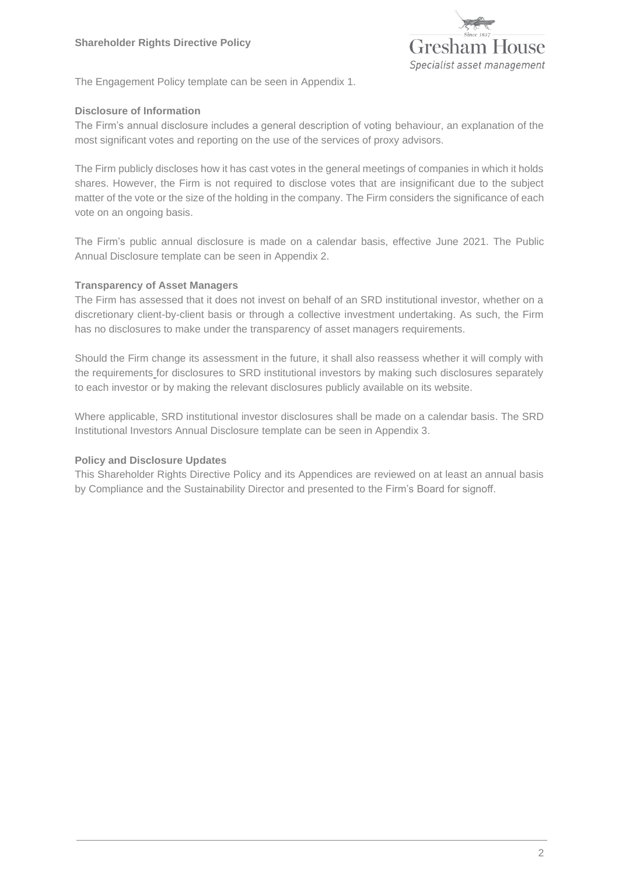

The Engagement Policy template can be seen in Appendix 1.

### **Disclosure of Information**

The Firm's annual disclosure includes a general description of voting behaviour, an explanation of the most significant votes and reporting on the use of the services of proxy advisors.

The Firm publicly discloses how it has cast votes in the general meetings of companies in which it holds shares. However, the Firm is not required to disclose votes that are insignificant due to the subject matter of the vote or the size of the holding in the company. The Firm considers the significance of each vote on an ongoing basis.

The Firm's public annual disclosure is made on a calendar basis, effective June 2021. The Public Annual Disclosure template can be seen in Appendix 2.

### **Transparency of Asset Managers**

The Firm has assessed that it does not invest on behalf of an SRD institutional investor, whether on a discretionary client-by-client basis or through a collective investment undertaking. As such, the Firm has no disclosures to make under the transparency of asset managers requirements.

Should the Firm change its assessment in the future, it shall also reassess whether it will comply with the requirements for disclosures to SRD institutional investors by making such disclosures separately to each investor or by making the relevant disclosures publicly available on its website.

Where applicable, SRD institutional investor disclosures shall be made on a calendar basis. The SRD Institutional Investors Annual Disclosure template can be seen in Appendix 3.

#### **Policy and Disclosure Updates**

This Shareholder Rights Directive Policy and its Appendices are reviewed on at least an annual basis by Compliance and the Sustainability Director and presented to the Firm's Board for signoff.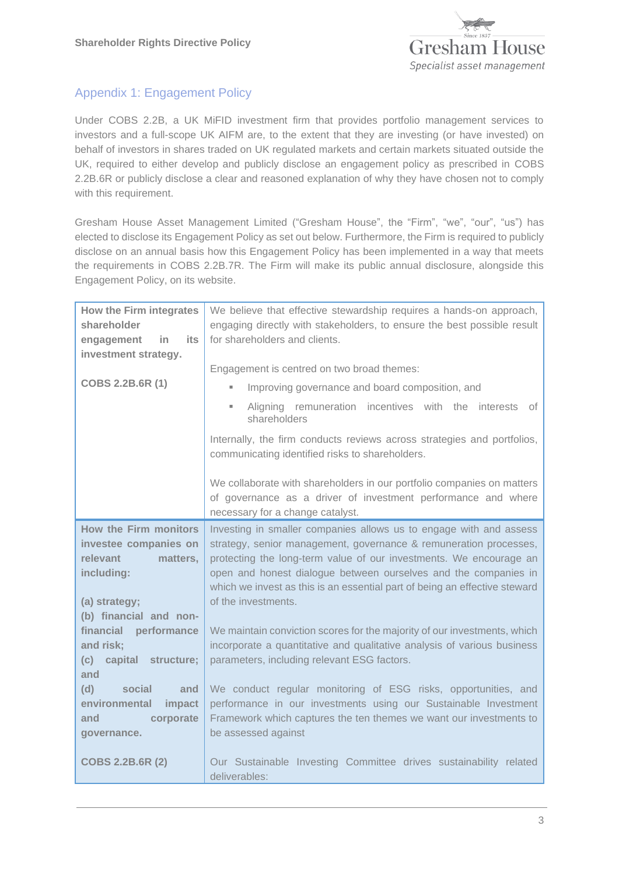

# Appendix 1: Engagement Policy

Under COBS 2.2B, a UK MiFID investment firm that provides portfolio management services to investors and a full-scope UK AIFM are, to the extent that they are investing (or have invested) on behalf of investors in shares traded on UK regulated markets and certain markets situated outside the UK, required to either develop and publicly disclose an engagement policy as prescribed in COBS 2.2B.6R or publicly disclose a clear and reasoned explanation of why they have chosen not to comply with this requirement.

Gresham House Asset Management Limited ("Gresham House", the "Firm", "we", "our", "us") has elected to disclose its Engagement Policy as set out below. Furthermore, the Firm is required to publicly disclose on an annual basis how this Engagement Policy has been implemented in a way that meets the requirements in COBS 2.2B.7R. The Firm will make its public annual disclosure, alongside this Engagement Policy, on its website.

| <b>How the Firm integrates</b><br>shareholder<br>its<br>in<br>engagement<br>investment strategy.<br>COBS 2.2B.6R (1) | We believe that effective stewardship requires a hands-on approach,<br>engaging directly with stakeholders, to ensure the best possible result<br>for shareholders and clients.<br>Engagement is centred on two broad themes: |
|----------------------------------------------------------------------------------------------------------------------|-------------------------------------------------------------------------------------------------------------------------------------------------------------------------------------------------------------------------------|
|                                                                                                                      | Improving governance and board composition, and                                                                                                                                                                               |
|                                                                                                                      | Aligning remuneration incentives with the interests of<br>٠<br>shareholders                                                                                                                                                   |
|                                                                                                                      | Internally, the firm conducts reviews across strategies and portfolios,<br>communicating identified risks to shareholders.                                                                                                    |
|                                                                                                                      | We collaborate with shareholders in our portfolio companies on matters<br>of governance as a driver of investment performance and where<br>necessary for a change catalyst.                                                   |
| <b>How the Firm monitors</b>                                                                                         | Investing in smaller companies allows us to engage with and assess                                                                                                                                                            |
| investee companies on<br>relevant                                                                                    | strategy, senior management, governance & remuneration processes,<br>protecting the long-term value of our investments. We encourage an                                                                                       |
| matters,<br>including:                                                                                               | open and honest dialogue between ourselves and the companies in                                                                                                                                                               |
| (a) strategy;                                                                                                        | which we invest as this is an essential part of being an effective steward<br>of the investments.                                                                                                                             |
| (b) financial and non-                                                                                               |                                                                                                                                                                                                                               |
| financial<br>performance<br>and risk:                                                                                | We maintain conviction scores for the majority of our investments, which<br>incorporate a quantitative and qualitative analysis of various business                                                                           |
| (c)<br>capital structure;<br>and                                                                                     | parameters, including relevant ESG factors.                                                                                                                                                                                   |
| (d)<br>social<br>and                                                                                                 | We conduct regular monitoring of ESG risks, opportunities, and                                                                                                                                                                |
| environmental<br>impact                                                                                              | performance in our investments using our Sustainable Investment                                                                                                                                                               |
| and<br>corporate<br>governance.                                                                                      | Framework which captures the ten themes we want our investments to<br>be assessed against                                                                                                                                     |
| <b>COBS 2.2B.6R (2)</b>                                                                                              | Our Sustainable Investing Committee drives sustainability related<br>deliverables:                                                                                                                                            |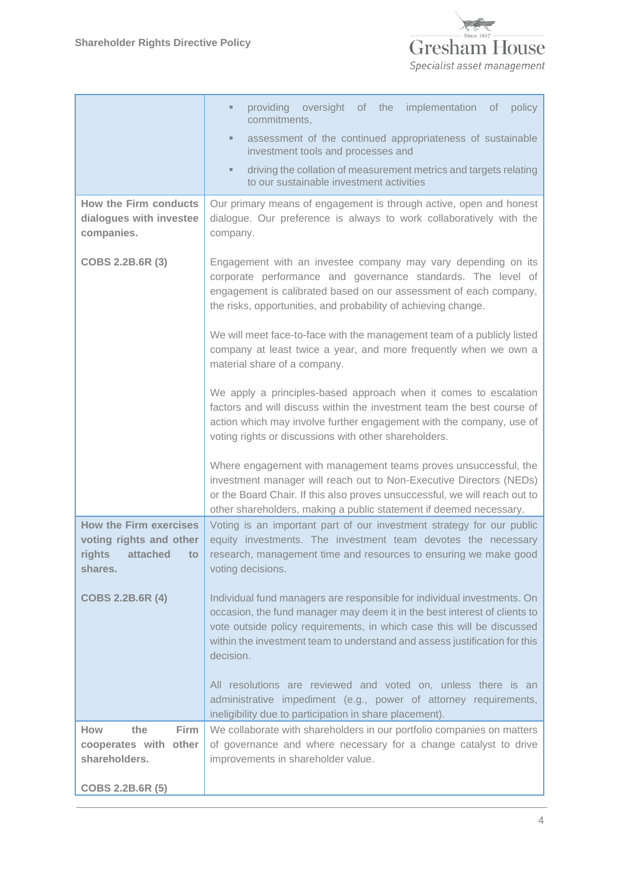

|                                                                                                  | providing<br>oversight of the implementation of policy<br>$\blacksquare$                                                                                                                                                                                                                                                  |
|--------------------------------------------------------------------------------------------------|---------------------------------------------------------------------------------------------------------------------------------------------------------------------------------------------------------------------------------------------------------------------------------------------------------------------------|
|                                                                                                  | commitments,                                                                                                                                                                                                                                                                                                              |
|                                                                                                  | assessment of the continued appropriateness of sustainable<br>٠<br>investment tools and processes and                                                                                                                                                                                                                     |
|                                                                                                  | driving the collation of measurement metrics and targets relating<br>٠<br>to our sustainable investment activities                                                                                                                                                                                                        |
| <b>How the Firm conducts</b>                                                                     | Our primary means of engagement is through active, open and honest                                                                                                                                                                                                                                                        |
| dialogues with investee<br>companies.                                                            | dialogue. Our preference is always to work collaboratively with the<br>company.                                                                                                                                                                                                                                           |
| COBS 2.2B.6R (3)                                                                                 | Engagement with an investee company may vary depending on its<br>corporate performance and governance standards. The level of<br>engagement is calibrated based on our assessment of each company,<br>the risks, opportunities, and probability of achieving change.                                                      |
|                                                                                                  | We will meet face-to-face with the management team of a publicly listed<br>company at least twice a year, and more frequently when we own a<br>material share of a company.                                                                                                                                               |
|                                                                                                  | We apply a principles-based approach when it comes to escalation<br>factors and will discuss within the investment team the best course of<br>action which may involve further engagement with the company, use of<br>voting rights or discussions with other shareholders.                                               |
|                                                                                                  | Where engagement with management teams proves unsuccessful, the<br>investment manager will reach out to Non-Executive Directors (NEDs)<br>or the Board Chair. If this also proves unsuccessful, we will reach out to<br>other shareholders, making a public statement if deemed necessary.                                |
| <b>How the Firm exercises</b><br>voting rights and other<br>rights<br>attached<br>to.<br>shares. | Voting is an important part of our investment strategy for our public<br>equity investments. The investment team devotes the necessary<br>research, management time and resources to ensuring we make good<br>voting decisions.                                                                                           |
| <b>COBS 2.2B.6R (4)</b>                                                                          | Individual fund managers are responsible for individual investments. On<br>occasion, the fund manager may deem it in the best interest of clients to<br>vote outside policy requirements, in which case this will be discussed<br>within the investment team to understand and assess justification for this<br>decision. |
|                                                                                                  | All resolutions are reviewed and voted on, unless there is an<br>administrative impediment (e.g., power of attorney requirements,<br>ineligibility due to participation in share placement).                                                                                                                              |
| How<br>the<br>Firm<br>cooperates with<br>other<br>shareholders.                                  | We collaborate with shareholders in our portfolio companies on matters<br>of governance and where necessary for a change catalyst to drive<br>improvements in shareholder value.                                                                                                                                          |
| COBS 2.2B.6R (5)                                                                                 |                                                                                                                                                                                                                                                                                                                           |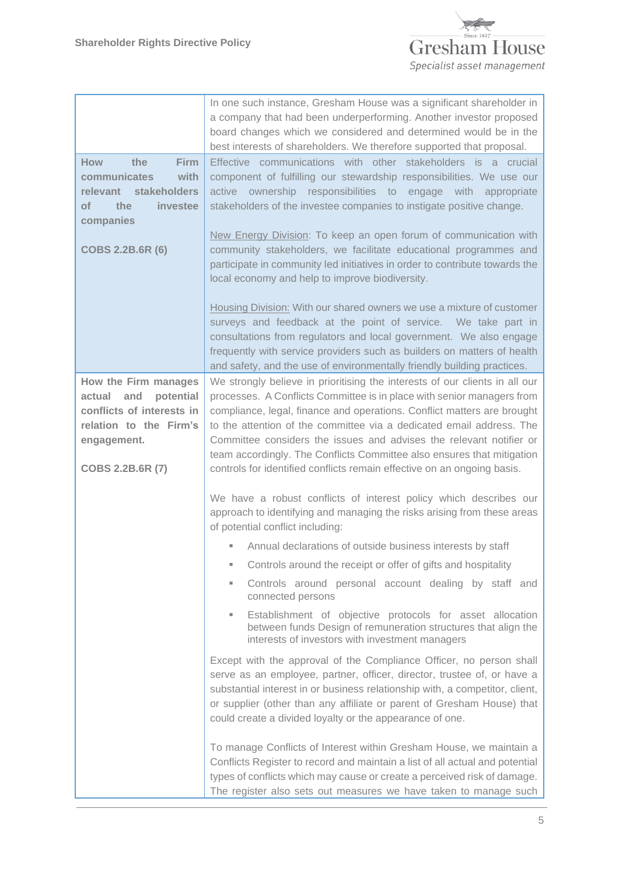

| <b>How</b><br>the<br>Firm<br>communicates<br>with<br>relevant stakeholders<br>of<br>the<br>investee<br>companies<br><b>COBS 2.2B.6R (6)</b> | In one such instance, Gresham House was a significant shareholder in<br>a company that had been underperforming. Another investor proposed<br>board changes which we considered and determined would be in the<br>best interests of shareholders. We therefore supported that proposal.<br>Effective communications with other stakeholders is a crucial<br>component of fulfilling our stewardship responsibilities. We use our<br>ownership responsibilities to engage with<br>active<br>appropriate<br>stakeholders of the investee companies to instigate positive change.<br>New Energy Division: To keep an open forum of communication with<br>community stakeholders, we facilitate educational programmes and<br>participate in community led initiatives in order to contribute towards the<br>local economy and help to improve biodiversity.<br>Housing Division: With our shared owners we use a mixture of customer<br>surveys and feedback at the point of service. We take part in<br>consultations from regulators and local government. We also engage<br>frequently with service providers such as builders on matters of health |
|---------------------------------------------------------------------------------------------------------------------------------------------|-----------------------------------------------------------------------------------------------------------------------------------------------------------------------------------------------------------------------------------------------------------------------------------------------------------------------------------------------------------------------------------------------------------------------------------------------------------------------------------------------------------------------------------------------------------------------------------------------------------------------------------------------------------------------------------------------------------------------------------------------------------------------------------------------------------------------------------------------------------------------------------------------------------------------------------------------------------------------------------------------------------------------------------------------------------------------------------------------------------------------------------------------------|
| How the Firm manages                                                                                                                        | and safety, and the use of environmentally friendly building practices.<br>We strongly believe in prioritising the interests of our clients in all our                                                                                                                                                                                                                                                                                                                                                                                                                                                                                                                                                                                                                                                                                                                                                                                                                                                                                                                                                                                              |
| potential<br>actual<br>and<br>conflicts of interests in<br>relation to the Firm's<br>engagement.<br>COBS 2.2B.6R (7)                        | processes. A Conflicts Committee is in place with senior managers from<br>compliance, legal, finance and operations. Conflict matters are brought<br>to the attention of the committee via a dedicated email address. The<br>Committee considers the issues and advises the relevant notifier or<br>team accordingly. The Conflicts Committee also ensures that mitigation<br>controls for identified conflicts remain effective on an ongoing basis.                                                                                                                                                                                                                                                                                                                                                                                                                                                                                                                                                                                                                                                                                               |
|                                                                                                                                             | We have a robust conflicts of interest policy which describes our<br>approach to identifying and managing the risks arising from these areas<br>of potential conflict including:                                                                                                                                                                                                                                                                                                                                                                                                                                                                                                                                                                                                                                                                                                                                                                                                                                                                                                                                                                    |
|                                                                                                                                             | Annual declarations of outside business interests by staff                                                                                                                                                                                                                                                                                                                                                                                                                                                                                                                                                                                                                                                                                                                                                                                                                                                                                                                                                                                                                                                                                          |
|                                                                                                                                             | Controls around the receipt or offer of gifts and hospitality                                                                                                                                                                                                                                                                                                                                                                                                                                                                                                                                                                                                                                                                                                                                                                                                                                                                                                                                                                                                                                                                                       |
|                                                                                                                                             | Controls around personal account dealing by staff and<br>u,<br>connected persons                                                                                                                                                                                                                                                                                                                                                                                                                                                                                                                                                                                                                                                                                                                                                                                                                                                                                                                                                                                                                                                                    |
|                                                                                                                                             | Establishment of objective protocols for asset allocation<br>ш<br>between funds Design of remuneration structures that align the<br>interests of investors with investment managers                                                                                                                                                                                                                                                                                                                                                                                                                                                                                                                                                                                                                                                                                                                                                                                                                                                                                                                                                                 |
|                                                                                                                                             | Except with the approval of the Compliance Officer, no person shall<br>serve as an employee, partner, officer, director, trustee of, or have a<br>substantial interest in or business relationship with, a competitor, client,<br>or supplier (other than any affiliate or parent of Gresham House) that<br>could create a divided loyalty or the appearance of one.                                                                                                                                                                                                                                                                                                                                                                                                                                                                                                                                                                                                                                                                                                                                                                                |
|                                                                                                                                             | To manage Conflicts of Interest within Gresham House, we maintain a<br>Conflicts Register to record and maintain a list of all actual and potential<br>types of conflicts which may cause or create a perceived risk of damage.<br>The register also sets out measures we have taken to manage such                                                                                                                                                                                                                                                                                                                                                                                                                                                                                                                                                                                                                                                                                                                                                                                                                                                 |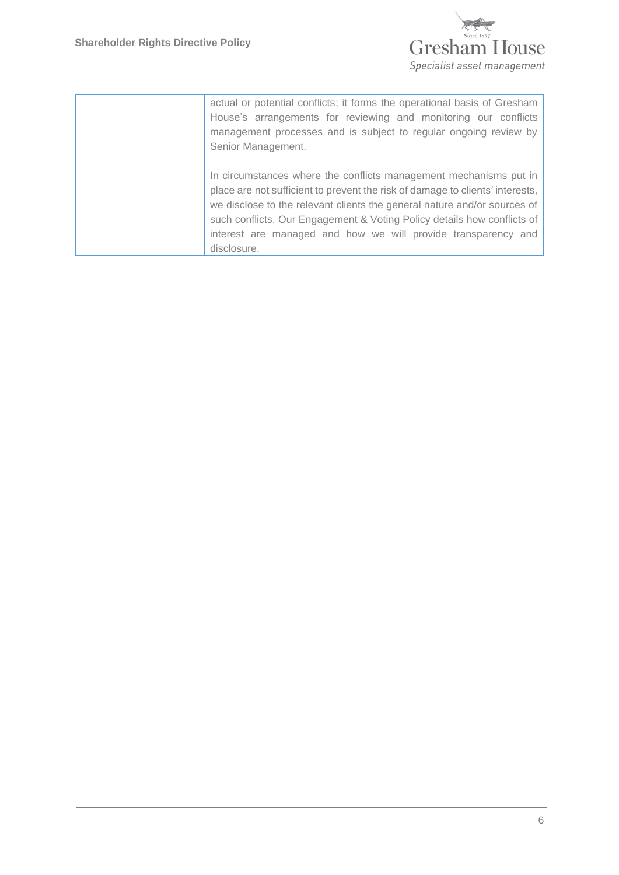

actual or potential conflicts; it forms the operational basis of Gresham House's arrangements for reviewing and monitoring our conflicts management processes and is subject to regular ongoing review by Senior Management.

In circumstances where the conflicts management mechanisms put in place are not sufficient to prevent the risk of damage to clients' interests, we disclose to the relevant clients the general nature and/or sources of such conflicts. Our Engagement & Voting Policy details how conflicts of interest are managed and how we will provide transparency and disclosure.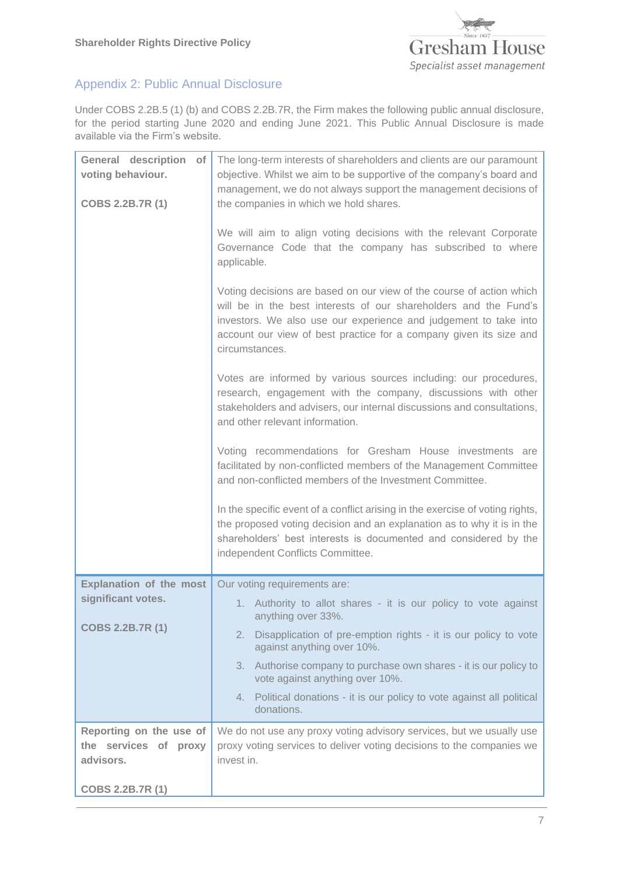

# Appendix 2: Public Annual Disclosure

Under COBS 2.2B.5 (1) (b) and COBS 2.2B.7R, the Firm makes the following public annual disclosure, for the period starting June 2020 and ending June 2021. This Public Annual Disclosure is made available via the Firm's website.

| <b>General description</b><br>of<br>voting behaviour.<br>COBS 2.2B.7R (1) | The long-term interests of shareholders and clients are our paramount<br>objective. Whilst we aim to be supportive of the company's board and<br>management, we do not always support the management decisions of<br>the companies in which we hold shares.                                          |
|---------------------------------------------------------------------------|------------------------------------------------------------------------------------------------------------------------------------------------------------------------------------------------------------------------------------------------------------------------------------------------------|
|                                                                           | We will aim to align voting decisions with the relevant Corporate<br>Governance Code that the company has subscribed to where<br>applicable.                                                                                                                                                         |
|                                                                           | Voting decisions are based on our view of the course of action which<br>will be in the best interests of our shareholders and the Fund's<br>investors. We also use our experience and judgement to take into<br>account our view of best practice for a company given its size and<br>circumstances. |
|                                                                           | Votes are informed by various sources including: our procedures,<br>research, engagement with the company, discussions with other<br>stakeholders and advisers, our internal discussions and consultations,<br>and other relevant information.                                                       |
|                                                                           | Voting recommendations for Gresham House investments are<br>facilitated by non-conflicted members of the Management Committee<br>and non-conflicted members of the Investment Committee.                                                                                                             |
|                                                                           | In the specific event of a conflict arising in the exercise of voting rights,<br>the proposed voting decision and an explanation as to why it is in the<br>shareholders' best interests is documented and considered by the<br>independent Conflicts Committee.                                      |
| <b>Explanation of the most</b>                                            | Our voting requirements are:                                                                                                                                                                                                                                                                         |
| significant votes.                                                        | 1. Authority to allot shares - it is our policy to vote against<br>anything over 33%.                                                                                                                                                                                                                |
| <b>COBS 2.2B.7R (1)</b>                                                   | Disapplication of pre-emption rights - it is our policy to vote<br>2.<br>against anything over 10%.                                                                                                                                                                                                  |
|                                                                           | Authorise company to purchase own shares - it is our policy to<br>3.<br>vote against anything over 10%.                                                                                                                                                                                              |
|                                                                           | 4. Political donations - it is our policy to vote against all political<br>donations.                                                                                                                                                                                                                |
| Reporting on the use of<br>the services of proxy<br>advisors.             | We do not use any proxy voting advisory services, but we usually use<br>proxy voting services to deliver voting decisions to the companies we<br>invest in.                                                                                                                                          |
| COBS 2.2B.7R (1)                                                          |                                                                                                                                                                                                                                                                                                      |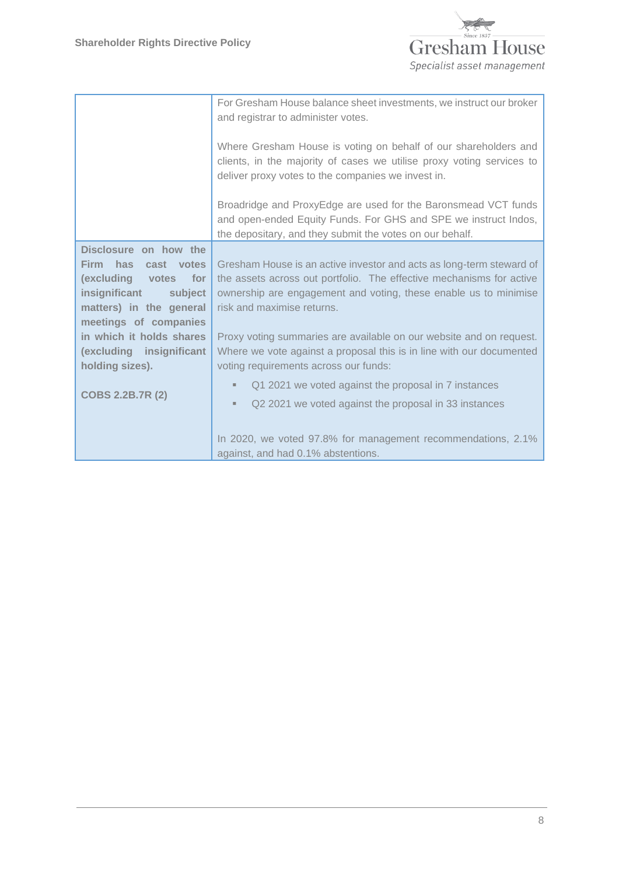

|                                                  | For Gresham House balance sheet investments, we instruct our broker<br>and registrar to administer votes.<br>Where Gresham House is voting on behalf of our shareholders and<br>clients, in the majority of cases we utilise proxy voting services to<br>deliver proxy votes to the companies we invest in. |
|--------------------------------------------------|-------------------------------------------------------------------------------------------------------------------------------------------------------------------------------------------------------------------------------------------------------------------------------------------------------------|
|                                                  | Broadridge and ProxyEdge are used for the Baronsmead VCT funds<br>and open-ended Equity Funds. For GHS and SPE we instruct Indos,<br>the depositary, and they submit the votes on our behalf.                                                                                                               |
| Disclosure on how the                            |                                                                                                                                                                                                                                                                                                             |
| <b>Firm</b><br>has<br>cast votes                 | Gresham House is an active investor and acts as long-term steward of                                                                                                                                                                                                                                        |
| (excluding<br>votes for                          | the assets across out portfolio. The effective mechanisms for active                                                                                                                                                                                                                                        |
| insignificant<br>subject                         | ownership are engagement and voting, these enable us to minimise<br>risk and maximise returns.                                                                                                                                                                                                              |
| matters) in the general<br>meetings of companies |                                                                                                                                                                                                                                                                                                             |
| in which it holds shares                         | Proxy voting summaries are available on our website and on request.                                                                                                                                                                                                                                         |
| (excluding insignificant                         | Where we vote against a proposal this is in line with our documented                                                                                                                                                                                                                                        |
| holding sizes).                                  | voting requirements across our funds:                                                                                                                                                                                                                                                                       |
|                                                  | Q1 2021 we voted against the proposal in 7 instances<br>٠                                                                                                                                                                                                                                                   |
| <b>COBS 2.2B.7R (2)</b>                          | Q2 2021 we voted against the proposal in 33 instances<br>٠                                                                                                                                                                                                                                                  |
|                                                  |                                                                                                                                                                                                                                                                                                             |
|                                                  | In 2020, we voted 97.8% for management recommendations, 2.1%                                                                                                                                                                                                                                                |
|                                                  | against, and had 0.1% abstentions.                                                                                                                                                                                                                                                                          |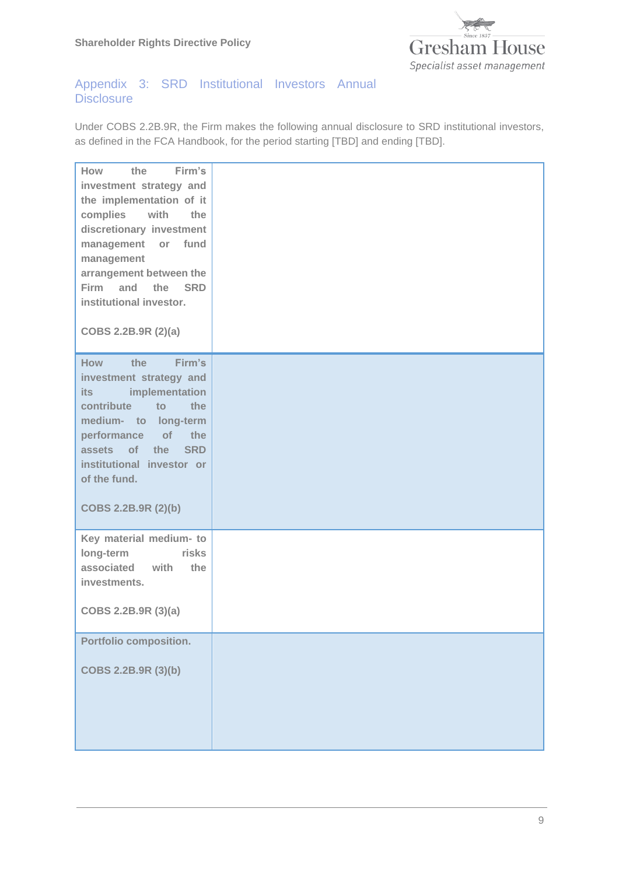**Shareholder Rights Directive Policy**



## Appendix 3: SRD Institutional Investors Annual **Disclosure**

Under COBS 2.2B.9R, the Firm makes the following annual disclosure to SRD institutional investors, as defined in the FCA Handbook, for the period starting [TBD] and ending [TBD].

| How<br>Firm's<br>the<br>investment strategy and<br>the implementation of it<br>with<br>complies<br>the<br>discretionary investment<br>management or<br>fund<br>management<br>arrangement between the<br>Firm and the<br><b>SRD</b><br>institutional investor.<br>COBS 2.2B.9R (2)(a) |  |
|--------------------------------------------------------------------------------------------------------------------------------------------------------------------------------------------------------------------------------------------------------------------------------------|--|
| Firm's<br>How<br>the<br>investment strategy and<br>implementation<br>its<br>contribute<br>the<br>to<br>medium- to long-term<br>performance of the<br>assets of the<br><b>SRD</b><br>institutional investor or<br>of the fund.<br>COBS 2.2B.9R (2)(b)                                 |  |
| Key material medium- to<br>long-term<br>risks<br>associated with<br>the<br>investments.<br>COBS 2.2B.9R (3)(a)                                                                                                                                                                       |  |
| Portfolio composition.<br>COBS 2.2B.9R (3)(b)                                                                                                                                                                                                                                        |  |